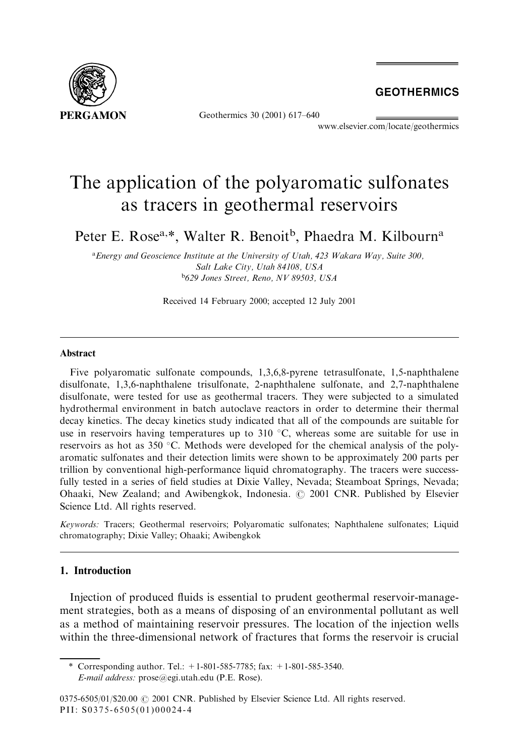

Geothermics 30 (2001) 617–640

**GEOTHERMICS** 

www.elsevier.com/locate/geothermics

# The application of the polyaromatic sulfonates as tracers in geothermal reservoirs

Peter E. Rose<sup>a,\*</sup>, Walter R. Benoit<sup>b</sup>, Phaedra M. Kilbourn<sup>a</sup>

<sup>a</sup> Energy and Geoscience Institute at the University of Utah, 423 Wakara Way, Suite 300, Salt Lake City, Utah 84108, USA <sup>b</sup>629 Jones Street, Reno, NV 89503, USA

Received 14 February 2000; accepted 12 July 2001

#### Abstract

Five polyaromatic sulfonate compounds, 1,3,6,8-pyrene tetrasulfonate, 1,5-naphthalene disulfonate, 1,3,6-naphthalene trisulfonate, 2-naphthalene sulfonate, and 2,7-naphthalene disulfonate, were tested for use as geothermal tracers. They were subjected to a simulated hydrothermal environment in batch autoclave reactors in order to determine their thermal decay kinetics. The decay kinetics study indicated that all of the compounds are suitable for use in reservoirs having temperatures up to  $310$  °C, whereas some are suitable for use in reservoirs as hot as  $350^{\circ}$ C. Methods were developed for the chemical analysis of the polyaromatic sulfonates and their detection limits were shown to be approximately 200 parts per trillion by conventional high-performance liquid chromatography. The tracers were successfully tested in a series of field studies at Dixie Valley, Nevada; Steamboat Springs, Nevada; Ohaaki, New Zealand; and Awibengkok, Indonesia.  $\odot$  2001 CNR. Published by Elsevier Science Ltd. All rights reserved.

Keywords: Tracers; Geothermal reservoirs; Polyaromatic sulfonates; Naphthalene sulfonates; Liquid chromatography; Dixie Valley; Ohaaki; Awibengkok

# 1. Introduction

Injection of produced fluids is essential to prudent geothermal reservoir-management strategies, both as a means of disposing of an environmental pollutant as well as a method of maintaining reservoir pressures. The location of the injection wells within the three-dimensional network of fractures that forms the reservoir is crucial

<sup>\*</sup> Corresponding author. Tel.:  $+1-801-585-7785$ ; fax:  $+1-801-585-3540$ . E-mail address: prose@egi.utah.edu (P.E. Rose).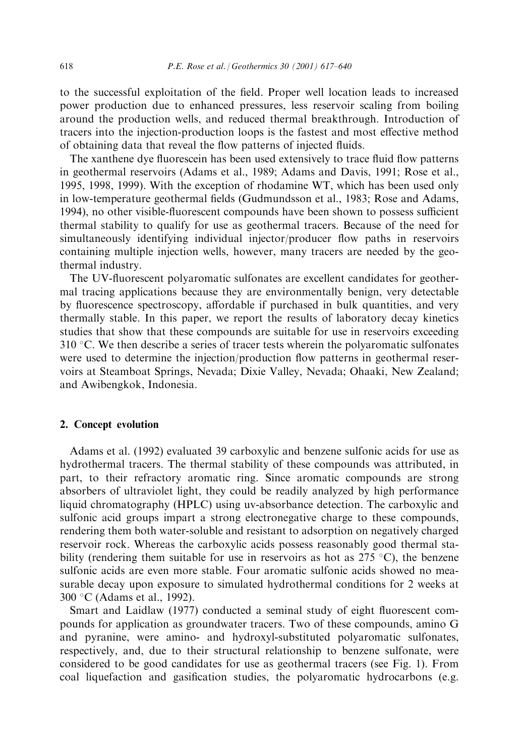to the successful exploitation of the field. Proper well location leads to increased power production due to enhanced pressures, less reservoir scaling from boiling around the production wells, and reduced thermal breakthrough. Introduction of tracers into the injection-production loops is the fastest and most effective method of obtaining data that reveal the flow patterns of injected fluids.

The xanthene dye fluorescein has been used extensively to trace fluid flow patterns in geothermal reservoirs (Adams et al., 1989; Adams and Davis, 1991; Rose et al., 1995, 1998, 1999). With the exception of rhodamine WT, which has been used only in low-temperature geothermal fields (Gudmundsson et al., 1983; Rose and Adams, 1994), no other visible-fluorescent compounds have been shown to possess sufficient thermal stability to qualify for use as geothermal tracers. Because of the need for simultaneously identifying individual injector/producer flow paths in reservoirs containing multiple injection wells, however, many tracers are needed by the geothermal industry.

The UV-fluorescent polyaromatic sulfonates are excellent candidates for geothermal tracing applications because they are environmentally benign, very detectable by fluorescence spectroscopy, affordable if purchased in bulk quantities, and very thermally stable. In this paper, we report the results of laboratory decay kinetics studies that show that these compounds are suitable for use in reservoirs exceeding  $310$  °C. We then describe a series of tracer tests wherein the polyaromatic sulfonates were used to determine the injection/production flow patterns in geothermal reservoirs at Steamboat Springs, Nevada; Dixie Valley, Nevada; Ohaaki, New Zealand; and Awibengkok, Indonesia.

## 2. Concept evolution

Adams et al. (1992) evaluated 39 carboxylic and benzene sulfonic acids for use as hydrothermal tracers. The thermal stability of these compounds was attributed, in part, to their refractory aromatic ring. Since aromatic compounds are strong absorbers of ultraviolet light, they could be readily analyzed by high performance liquid chromatography (HPLC) using uv-absorbance detection. The carboxylic and sulfonic acid groups impart a strong electronegative charge to these compounds, rendering them both water-soluble and resistant to adsorption on negatively charged reservoir rock. Whereas the carboxylic acids possess reasonably good thermal stability (rendering them suitable for use in reservoirs as hot as  $275 \degree C$ ), the benzene sulfonic acids are even more stable. Four aromatic sulfonic acids showed no measurable decay upon exposure to simulated hydrothermal conditions for 2 weeks at 300 C (Adams et al., 1992).

Smart and Laidlaw (1977) conducted a seminal study of eight fluorescent compounds for application as groundwater tracers. Two of these compounds, amino G and pyranine, were amino- and hydroxyl-substituted polyaromatic sulfonates, respectively, and, due to their structural relationship to benzene sulfonate, were considered to be good candidates for use as geothermal tracers (see Fig. 1). From coal liquefaction and gasification studies, the polyaromatic hydrocarbons (e.g.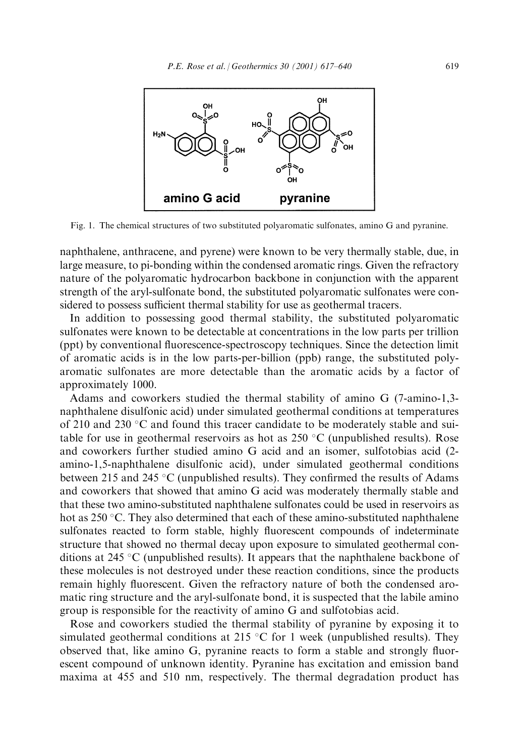

Fig. 1. The chemical structures of two substituted polyaromatic sulfonates, amino G and pyranine.

naphthalene, anthracene, and pyrene) were known to be very thermally stable, due, in large measure, to pi-bonding within the condensed aromatic rings. Given the refractory nature of the polyaromatic hydrocarbon backbone in conjunction with the apparent strength of the aryl-sulfonate bond, the substituted polyaromatic sulfonates were considered to possess sufficient thermal stability for use as geothermal tracers.

In addition to possessing good thermal stability, the substituted polyaromatic sulfonates were known to be detectable at concentrations in the low parts per trillion (ppt) by conventional fluorescence-spectroscopy techniques. Since the detection limit of aromatic acids is in the low parts-per-billion (ppb) range, the substituted polyaromatic sulfonates are more detectable than the aromatic acids by a factor of approximately 1000.

Adams and coworkers studied the thermal stability of amino G (7-amino-1,3 naphthalene disulfonic acid) under simulated geothermal conditions at temperatures of 210 and 230  $\degree$ C and found this tracer candidate to be moderately stable and suitable for use in geothermal reservoirs as hot as  $250\degree C$  (unpublished results). Rose and coworkers further studied amino G acid and an isomer, sulfotobias acid (2 amino-1,5-naphthalene disulfonic acid), under simulated geothermal conditions between 215 and 245  $\degree$ C (unpublished results). They confirmed the results of Adams and coworkers that showed that amino G acid was moderately thermally stable and that these two amino-substituted naphthalene sulfonates could be used in reservoirs as hot as  $250^{\circ}$ C. They also determined that each of these amino-substituted naphthalene sulfonates reacted to form stable, highly fluorescent compounds of indeterminate structure that showed no thermal decay upon exposure to simulated geothermal conditions at 245 °C (unpublished results). It appears that the naphthalene backbone of these molecules is not destroyed under these reaction conditions, since the products remain highly fluorescent. Given the refractory nature of both the condensed aromatic ring structure and the aryl-sulfonate bond, it is suspected that the labile amino group is responsible for the reactivity of amino G and sulfotobias acid.

Rose and coworkers studied the thermal stability of pyranine by exposing it to simulated geothermal conditions at 215 °C for 1 week (unpublished results). They observed that, like amino G, pyranine reacts to form a stable and strongly fluorescent compound of unknown identity. Pyranine has excitation and emission band maxima at 455 and 510 nm, respectively. The thermal degradation product has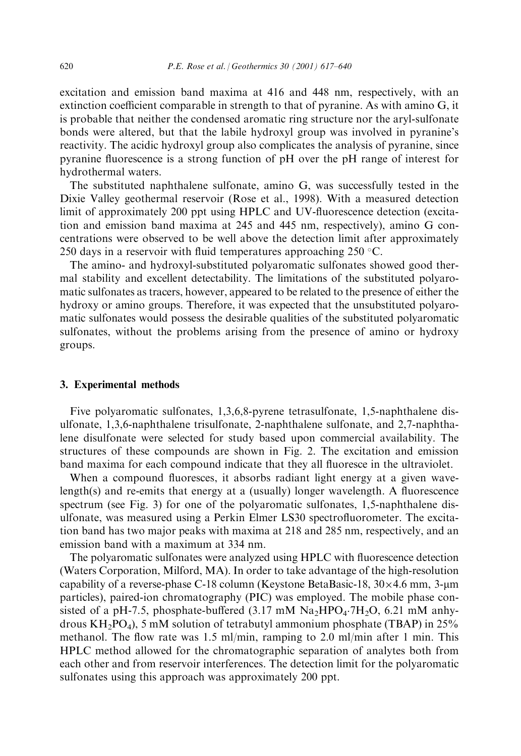excitation and emission band maxima at 416 and 448 nm, respectively, with an extinction coefficient comparable in strength to that of pyranine. As with amino G, it is probable that neither the condensed aromatic ring structure nor the aryl-sulfonate bonds were altered, but that the labile hydroxyl group was involved in pyranine's reactivity. The acidic hydroxyl group also complicates the analysis of pyranine, since pyranine fluorescence is a strong function of pH over the pH range of interest for hydrothermal waters.

The substituted naphthalene sulfonate, amino G, was successfully tested in the Dixie Valley geothermal reservoir (Rose et al., 1998). With a measured detection limit of approximately 200 ppt using HPLC and UV-fluorescence detection (excitation and emission band maxima at 245 and 445 nm, respectively), amino G concentrations were observed to be well above the detection limit after approximately 250 days in a reservoir with fluid temperatures approaching  $250 \degree C$ .

The amino- and hydroxyl-substituted polyaromatic sulfonates showed good thermal stability and excellent detectability. The limitations of the substituted polyaromatic sulfonates as tracers, however, appeared to be related to the presence of either the hydroxy or amino groups. Therefore, it was expected that the unsubstituted polyaromatic sulfonates would possess the desirable qualities of the substituted polyaromatic sulfonates, without the problems arising from the presence of amino or hydroxy groups.

#### 3. Experimental methods

Five polyaromatic sulfonates, 1,3,6,8-pyrene tetrasulfonate, 1,5-naphthalene disulfonate, 1,3,6-naphthalene trisulfonate, 2-naphthalene sulfonate, and 2,7-naphthalene disulfonate were selected for study based upon commercial availability. The structures of these compounds are shown in Fig. 2. The excitation and emission band maxima for each compound indicate that they all fluoresce in the ultraviolet.

When a compound fluoresces, it absorbs radiant light energy at a given wavelength(s) and re-emits that energy at a (usually) longer wavelength. A fluorescence spectrum (see Fig. 3) for one of the polyaromatic sulfonates, 1,5-naphthalene disulfonate, was measured using a Perkin Elmer LS30 spectrofluorometer. The excitation band has two major peaks with maxima at 218 and 285 nm, respectively, and an emission band with a maximum at 334 nm.

The polyaromatic sulfonates were analyzed using HPLC with fluorescence detection (Waters Corporation, Milford, MA). In order to take advantage of the high-resolution capability of a reverse-phase C-18 column (Keystone BetaBasic-18,  $30\times4.6$  mm,  $3$ -µm particles), paired-ion chromatography (PIC) was employed. The mobile phase consisted of a pH-7.5, phosphate-buffered  $(3.17 \text{ mM } Na<sub>2</sub>HPO<sub>4</sub>·7H<sub>2</sub>O, 6.21 \text{ mM } anhy$ drous KH2PO4), 5 mM solution of tetrabutyl ammonium phosphate (TBAP) in 25% methanol. The flow rate was 1.5 ml/min, ramping to 2.0 ml/min after 1 min. This HPLC method allowed for the chromatographic separation of analytes both from each other and from reservoir interferences. The detection limit for the polyaromatic sulfonates using this approach was approximately 200 ppt.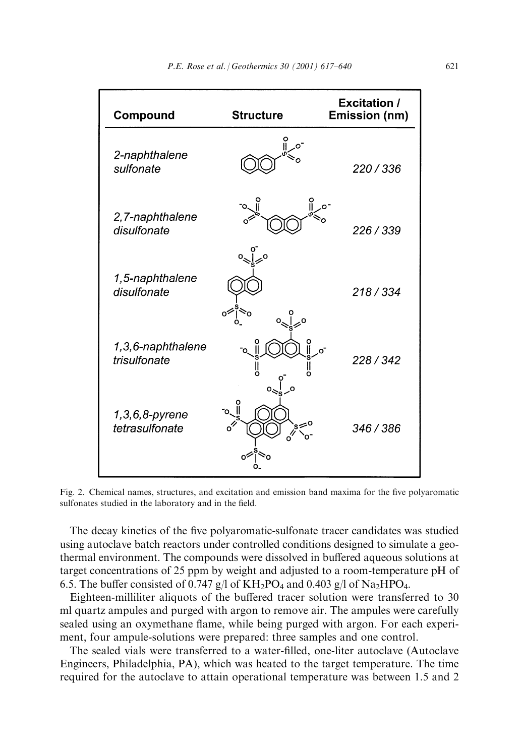

Fig. 2. Chemical names, structures, and excitation and emission band maxima for the five polyaromatic sulfonates studied in the laboratory and in the field.

The decay kinetics of the five polyaromatic-sulfonate tracer candidates was studied using autoclave batch reactors under controlled conditions designed to simulate a geothermal environment. The compounds were dissolved in buffered aqueous solutions at target concentrations of 25 ppm by weight and adjusted to a room-temperature pH of 6.5. The buffer consisted of 0.747 g/l of  $KH_2PO_4$  and 0.403 g/l of  $Na_2HPO_4$ .

Eighteen-milliliter aliquots of the buffered tracer solution were transferred to 30 ml quartz ampules and purged with argon to remove air. The ampules were carefully sealed using an oxymethane flame, while being purged with argon. For each experiment, four ampule-solutions were prepared: three samples and one control.

The sealed vials were transferred to a water-filled, one-liter autoclave (Autoclave Engineers, Philadelphia, PA), which was heated to the target temperature. The time required for the autoclave to attain operational temperature was between 1.5 and 2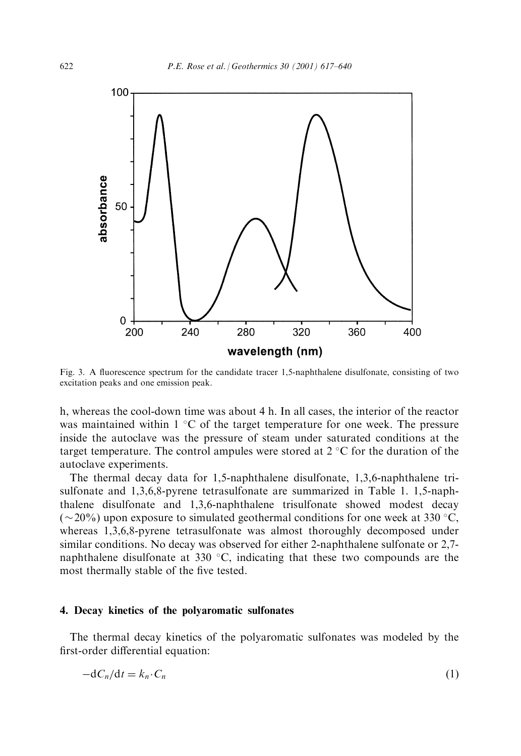

Fig. 3. A fluorescence spectrum for the candidate tracer 1,5-naphthalene disulfonate, consisting of two excitation peaks and one emission peak.

h, whereas the cool-down time was about 4 h. In all cases, the interior of the reactor was maintained within  $1 \degree C$  of the target temperature for one week. The pressure inside the autoclave was the pressure of steam under saturated conditions at the target temperature. The control ampules were stored at  $2^{\circ}$ C for the duration of the autoclave experiments.

The thermal decay data for 1,5-naphthalene disulfonate, 1,3,6-naphthalene trisulfonate and 1,3,6,8-pyrene tetrasulfonate are summarized in Table 1. 1,5-naphthalene disulfonate and 1,3,6-naphthalene trisulfonate showed modest decay  $(\sim 20\%)$  upon exposure to simulated geothermal conditions for one week at 330 °C, whereas 1,3,6,8-pyrene tetrasulfonate was almost thoroughly decomposed under similar conditions. No decay was observed for either 2-naphthalene sulfonate or 2,7 naphthalene disulfonate at 330  $\degree$ C, indicating that these two compounds are the most thermally stable of the five tested.

#### 4. Decay kinetics of the polyaromatic sulfonates

The thermal decay kinetics of the polyaromatic sulfonates was modeled by the first-order differential equation:

$$
-dC_n/dt = k_n \cdot C_n \tag{1}
$$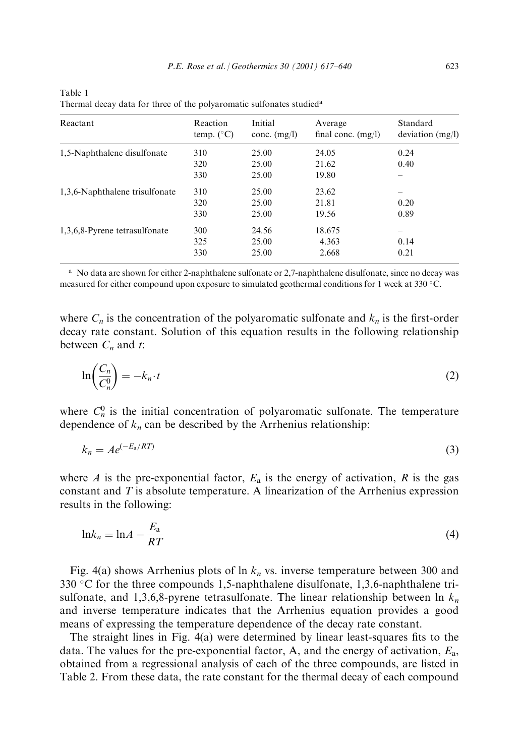| Reactant                       | Reaction<br>temp. $(^{\circ}C)$ | Initial<br>conc. $(mg/l)$ | Average<br>final conc. $(mg/l)$ | Standard<br>deviation $(mg/l)$ |
|--------------------------------|---------------------------------|---------------------------|---------------------------------|--------------------------------|
| 1,5-Naphthalene disulfonate    | 310                             | 25.00                     | 24.05                           | 0.24                           |
|                                | 320                             | 25.00                     | 21.62                           | 0.40                           |
|                                | 330                             | 25.00                     | 19.80                           |                                |
| 1,3,6-Naphthalene trisulfonate | 310                             | 25.00                     | 23.62                           |                                |
|                                | 320                             | 25.00                     | 21.81                           | 0.20                           |
|                                | 330                             | 25.00                     | 19.56                           | 0.89                           |
| 1,3,6,8-Pyrene tetrasulfonate  | 300                             | 24.56                     | 18.675                          |                                |
|                                | 325                             | 25.00                     | 4.363                           | 0.14                           |
|                                | 330                             | 25.00                     | 2.668                           | 0.21                           |

Table 1 Thermal decay data for three of the polyaromatic sulfonates studieda

<sup>a</sup> No data are shown for either 2-naphthalene sulfonate or 2,7-naphthalene disulfonate, since no decay was measured for either compound upon exposure to simulated geothermal conditions for 1 week at 330 °C.

where  $C_n$  is the concentration of the polyaromatic sulfonate and  $k_n$  is the first-order decay rate constant. Solution of this equation results in the following relationship between  $C_n$  and t:

$$
\ln\left(\frac{C_n}{C_n^0}\right) = -k_n \cdot t \tag{2}
$$

where  $C_n^0$  is the initial concentration of polyaromatic sulfonate. The temperature dependence of  $k_n$  can be described by the Arrhenius relationship:

$$
k_n = Ae^{(-E_a/RT)} \tag{3}
$$

where A is the pre-exponential factor,  $E_a$  is the energy of activation, R is the gas constant and  $T$  is absolute temperature. A linearization of the Arrhenius expression results in the following:

$$
\ln k_n = \ln A - \frac{E_a}{RT} \tag{4}
$$

Fig. 4(a) shows Arrhenius plots of ln  $k_n$  vs. inverse temperature between 300 and 330  $\degree$ C for the three compounds 1,5-naphthalene disulfonate, 1,3,6-naphthalene trisulfonate, and 1,3,6,8-pyrene tetrasulfonate. The linear relationship between  $\ln k_n$ and inverse temperature indicates that the Arrhenius equation provides a good means of expressing the temperature dependence of the decay rate constant.

The straight lines in Fig. 4(a) were determined by linear least-squares fits to the data. The values for the pre-exponential factor, A, and the energy of activation,  $E_a$ , obtained from a regressional analysis of each of the three compounds, are listed in Table 2. From these data, the rate constant for the thermal decay of each compound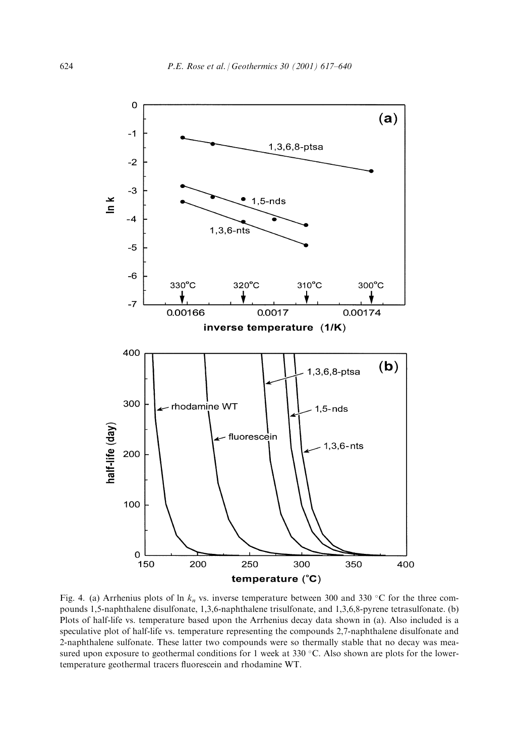

Fig. 4. (a) Arrhenius plots of ln  $k_n$  vs. inverse temperature between 300 and 330 °C for the three compounds 1,5-naphthalene disulfonate, 1,3,6-naphthalene trisulfonate, and 1,3,6,8-pyrene tetrasulfonate. (b) Plots of half-life vs. temperature based upon the Arrhenius decay data shown in (a). Also included is a speculative plot of half-life vs. temperature representing the compounds 2,7-naphthalene disulfonate and 2-naphthalene sulfonate. These latter two compounds were so thermally stable that no decay was measured upon exposure to geothermal conditions for 1 week at 330 °C. Also shown are plots for the lowertemperature geothermal tracers fluorescein and rhodamine WT.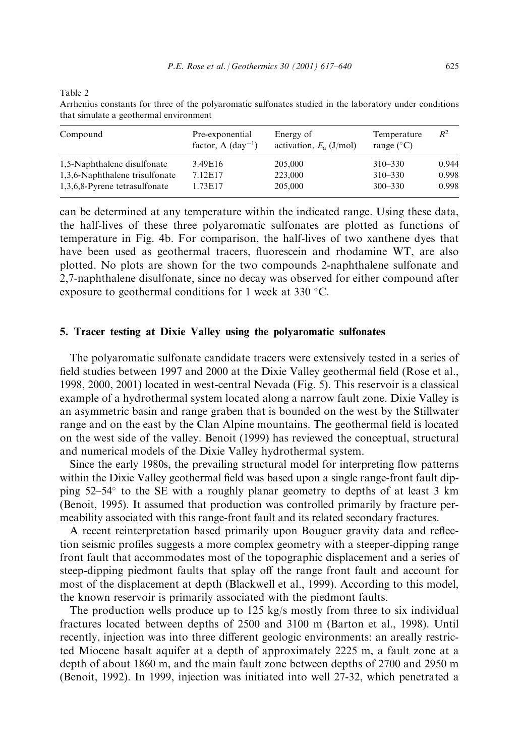Arrhenius constants for three of the polyaromatic sulfonates studied in the laboratory under conditions that simulate a geothermal environment

| Compound                       | Pre-exponential<br>factor, A $(\text{day}^{-1})$ | Energy of<br>activation, $E_a$ (J/mol) | Temperature<br>range $(^{\circ}C)$ | $R^2$ |
|--------------------------------|--------------------------------------------------|----------------------------------------|------------------------------------|-------|
| 1,5-Naphthalene disulfonate    | 3.49E16                                          | 205,000                                | $310 - 330$                        | 0.944 |
| 1,3,6-Naphthalene trisulfonate | 7.12E17                                          | 223,000                                | $310 - 330$                        | 0.998 |
| 1,3,6,8-Pyrene tetrasulfonate  | 1.73E17                                          | 205,000                                | $300 - 330$                        | 0.998 |

can be determined at any temperature within the indicated range. Using these data, the half-lives of these three polyaromatic sulfonates are plotted as functions of temperature in Fig. 4b. For comparison, the half-lives of two xanthene dyes that have been used as geothermal tracers, fluorescein and rhodamine WT, are also plotted. No plots are shown for the two compounds 2-naphthalene sulfonate and 2,7-naphthalene disulfonate, since no decay was observed for either compound after exposure to geothermal conditions for 1 week at  $330^{\circ}$ C.

#### 5. Tracer testing at Dixie Valley using the polyaromatic sulfonates

The polyaromatic sulfonate candidate tracers were extensively tested in a series of field studies between 1997 and 2000 at the Dixie Valley geothermal field (Rose et al., 1998, 2000, 2001) located in west-central Nevada (Fig. 5). This reservoir is a classical example of a hydrothermal system located along a narrow fault zone. Dixie Valley is an asymmetric basin and range graben that is bounded on the west by the Stillwater range and on the east by the Clan Alpine mountains. The geothermal field is located on the west side of the valley. Benoit (1999) has reviewed the conceptual, structural and numerical models of the Dixie Valley hydrothermal system.

Since the early 1980s, the prevailing structural model for interpreting flow patterns within the Dixie Valley geothermal field was based upon a single range-front fault dipping  $52-54^\circ$  to the SE with a roughly planar geometry to depths of at least 3 km (Benoit, 1995). It assumed that production was controlled primarily by fracture permeability associated with this range-front fault and its related secondary fractures.

A recent reinterpretation based primarily upon Bouguer gravity data and reflection seismic profiles suggests a more complex geometry with a steeper-dipping range front fault that accommodates most of the topographic displacement and a series of steep-dipping piedmont faults that splay off the range front fault and account for most of the displacement at depth (Blackwell et al., 1999). According to this model, the known reservoir is primarily associated with the piedmont faults.

The production wells produce up to 125 kg/s mostly from three to six individual fractures located between depths of 2500 and 3100 m (Barton et al., 1998). Until recently, injection was into three different geologic environments: an areally restricted Miocene basalt aquifer at a depth of approximately 2225 m, a fault zone at a depth of about 1860 m, and the main fault zone between depths of 2700 and 2950 m (Benoit, 1992). In 1999, injection was initiated into well 27-32, which penetrated a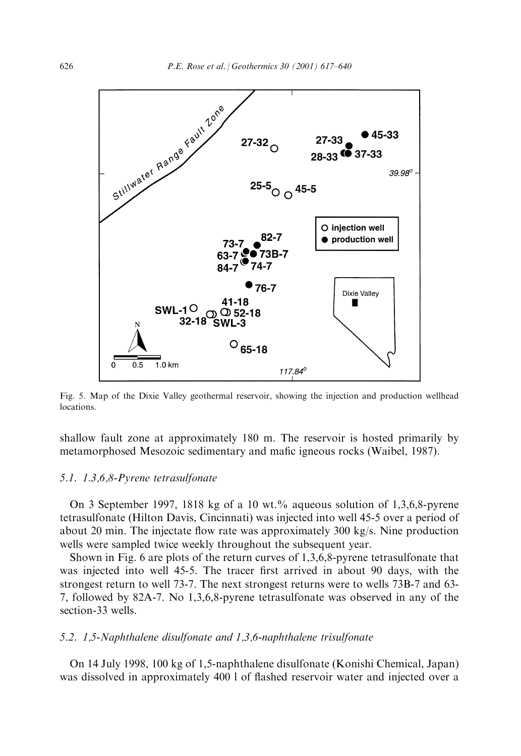

Fig. 5. Map of the Dixie Valley geothermal reservoir, showing the injection and production wellhead locations.

shallow fault zone at approximately 180 m. The reservoir is hosted primarily by metamorphosed Mesozoic sedimentary and mafic igneous rocks (Waibel, 1987).

## 5.1. 1.3,6,8-Pyrene tetrasulfonate

On 3 September 1997, 1818 kg of a 10 wt.% aqueous solution of 1,3,6,8-pyrene tetrasulfonate (Hilton Davis, Cincinnati) was injected into well 45-5 over a period of about 20 min. The injectate flow rate was approximately 300 kg/s. Nine production wells were sampled twice weekly throughout the subsequent year.

Shown in Fig. 6 are plots of the return curves of 1,3,6,8-pyrene tetrasulfonate that was injected into well 45-5. The tracer first arrived in about 90 days, with the strongest return to well 73-7. The next strongest returns were to wells 73B-7 and 63- 7, followed by 82A-7. No 1,3,6,8-pyrene tetrasulfonate was observed in any of the section-33 wells.

# 5.2. 1,5-Naphthalene disulfonate and 1,3,6-naphthalene trisulfonate

On 14 July 1998, 100 kg of 1,5-naphthalene disulfonate (Konishi Chemical, Japan) was dissolved in approximately 400 l of flashed reservoir water and injected over a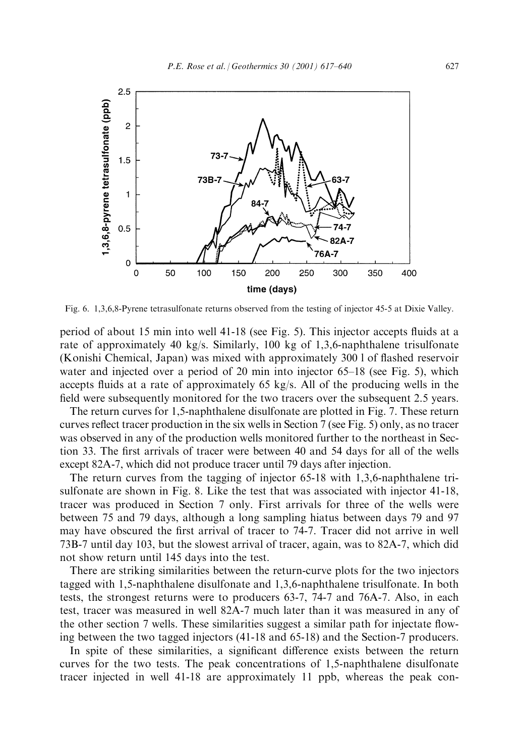

Fig. 6. 1,3,6,8-Pyrene tetrasulfonate returns observed from the testing of injector 45-5 at Dixie Valley.

period of about 15 min into well 41-18 (see Fig. 5). This injector accepts fluids at a rate of approximately 40 kg/s. Similarly, 100 kg of 1,3,6-naphthalene trisulfonate (Konishi Chemical, Japan) was mixed with approximately 300 l of flashed reservoir water and injected over a period of 20 min into injector 65–18 (see Fig. 5), which accepts fluids at a rate of approximately 65 kg/s. All of the producing wells in the field were subsequently monitored for the two tracers over the subsequent 2.5 years.

The return curves for 1,5-naphthalene disulfonate are plotted in Fig. 7. These return curves reflect tracer production in the six wells in Section 7 (see Fig. 5) only, as no tracer was observed in any of the production wells monitored further to the northeast in Section 33. The first arrivals of tracer were between 40 and 54 days for all of the wells except 82A-7, which did not produce tracer until 79 days after injection.

The return curves from the tagging of injector 65-18 with 1,3,6-naphthalene trisulfonate are shown in Fig. 8. Like the test that was associated with injector 41-18, tracer was produced in Section 7 only. First arrivals for three of the wells were between 75 and 79 days, although a long sampling hiatus between days 79 and 97 may have obscured the first arrival of tracer to 74-7. Tracer did not arrive in well 73B-7 until day 103, but the slowest arrival of tracer, again, was to 82A-7, which did not show return until 145 days into the test.

There are striking similarities between the return-curve plots for the two injectors tagged with 1,5-naphthalene disulfonate and 1,3,6-naphthalene trisulfonate. In both tests, the strongest returns were to producers 63-7, 74-7 and 76A-7. Also, in each test, tracer was measured in well 82A-7 much later than it was measured in any of the other section 7 wells. These similarities suggest a similar path for injectate flowing between the two tagged injectors (41-18 and 65-18) and the Section-7 producers.

In spite of these similarities, a significant difference exists between the return curves for the two tests. The peak concentrations of 1,5-naphthalene disulfonate tracer injected in well 41-18 are approximately 11 ppb, whereas the peak con-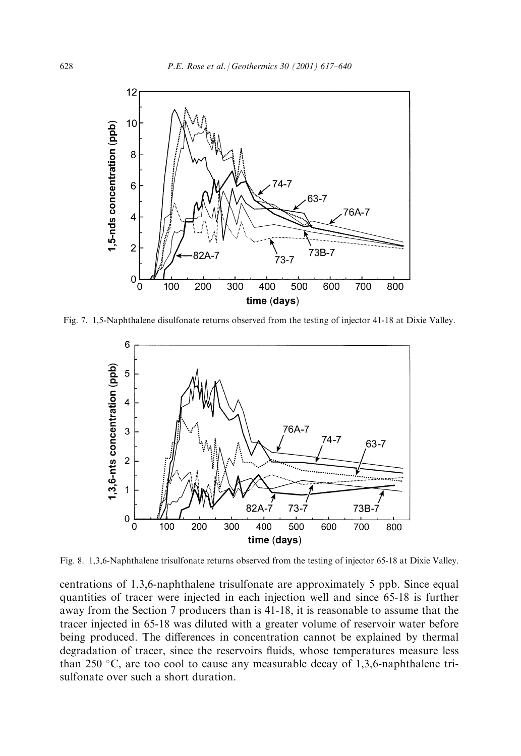

Fig. 7. 1,5-Naphthalene disulfonate returns observed from the testing of injector 41-18 at Dixie Valley.



Fig. 8. 1,3,6-Naphthalene trisulfonate returns observed from the testing of injector 65-18 at Dixie Valley.

centrations of 1,3,6-naphthalene trisulfonate are approximately 5 ppb. Since equal quantities of tracer were injected in each injection well and since 65-18 is further away from the Section 7 producers than is 41-18, it is reasonable to assume that the tracer injected in 65-18 was diluted with a greater volume of reservoir water before being produced. The differences in concentration cannot be explained by thermal degradation of tracer, since the reservoirs fluids, whose temperatures measure less than 250  $\degree$ C, are too cool to cause any measurable decay of 1,3,6-naphthalene trisulfonate over such a short duration.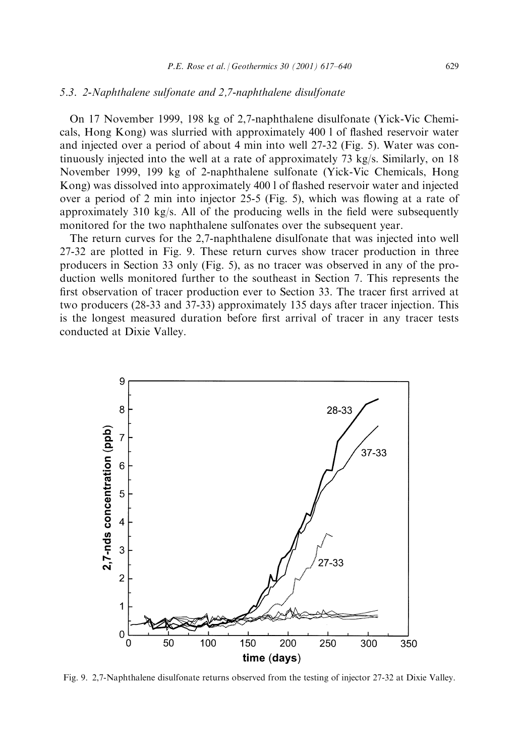# 5.3. 2-Naphthalene sulfonate and 2,7-naphthalene disulfonate

On 17 November 1999, 198 kg of 2,7-naphthalene disulfonate (Yick-Vic Chemicals, Hong Kong) was slurried with approximately 400 l of flashed reservoir water and injected over a period of about 4 min into well 27-32 (Fig. 5). Water was continuously injected into the well at a rate of approximately 73 kg/s. Similarly, on 18 November 1999, 199 kg of 2-naphthalene sulfonate (Yick-Vic Chemicals, Hong Kong) was dissolved into approximately 400 l of flashed reservoir water and injected over a period of 2 min into injector 25-5 (Fig. 5), which was flowing at a rate of approximately 310 kg/s. All of the producing wells in the field were subsequently monitored for the two naphthalene sulfonates over the subsequent year.

The return curves for the 2,7-naphthalene disulfonate that was injected into well 27-32 are plotted in Fig. 9. These return curves show tracer production in three producers in Section 33 only (Fig. 5), as no tracer was observed in any of the production wells monitored further to the southeast in Section 7. This represents the first observation of tracer production ever to Section 33. The tracer first arrived at two producers (28-33 and 37-33) approximately 135 days after tracer injection. This is the longest measured duration before first arrival of tracer in any tracer tests conducted at Dixie Valley.



Fig. 9. 2,7-Naphthalene disulfonate returns observed from the testing of injector 27-32 at Dixie Valley.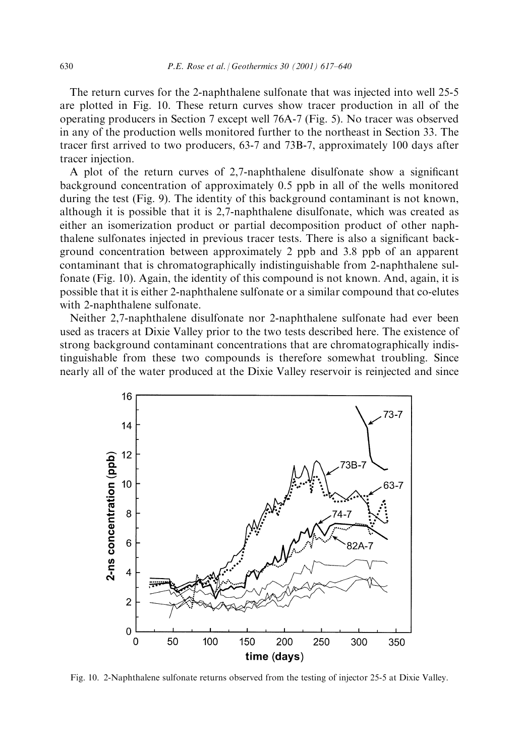The return curves for the 2-naphthalene sulfonate that was injected into well 25-5 are plotted in Fig. 10. These return curves show tracer production in all of the operating producers in Section 7 except well 76A-7 (Fig. 5). No tracer was observed in any of the production wells monitored further to the northeast in Section 33. The tracer first arrived to two producers, 63-7 and 73B-7, approximately 100 days after tracer injection.

A plot of the return curves of 2,7-naphthalene disulfonate show a significant background concentration of approximately 0.5 ppb in all of the wells monitored during the test (Fig. 9). The identity of this background contaminant is not known, although it is possible that it is 2,7-naphthalene disulfonate, which was created as either an isomerization product or partial decomposition product of other naphthalene sulfonates injected in previous tracer tests. There is also a significant background concentration between approximately 2 ppb and 3.8 ppb of an apparent contaminant that is chromatographically indistinguishable from 2-naphthalene sulfonate (Fig. 10). Again, the identity of this compound is not known. And, again, it is possible that it is either 2-naphthalene sulfonate or a similar compound that co-elutes with 2-naphthalene sulfonate.

Neither 2,7-naphthalene disulfonate nor 2-naphthalene sulfonate had ever been used as tracers at Dixie Valley prior to the two tests described here. The existence of strong background contaminant concentrations that are chromatographically indistinguishable from these two compounds is therefore somewhat troubling. Since nearly all of the water produced at the Dixie Valley reservoir is reinjected and since



Fig. 10. 2-Naphthalene sulfonate returns observed from the testing of injector 25-5 at Dixie Valley.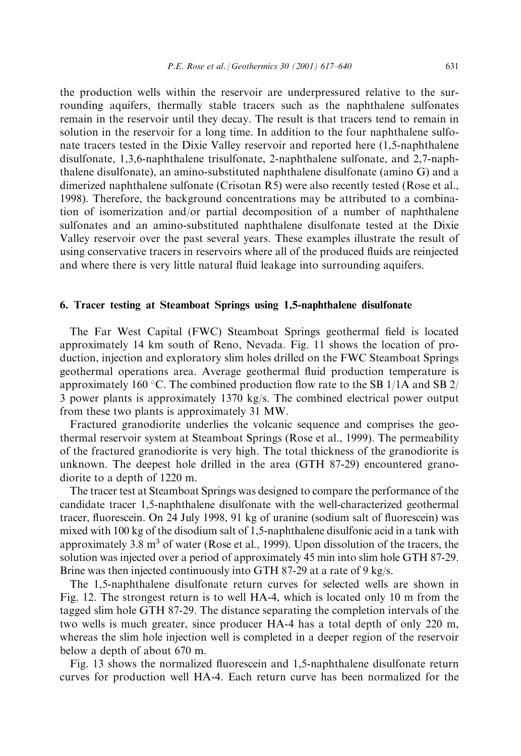the production wells within the reservoir are underpressured relative to the surrounding aquifers, thermally stable tracers such as the naphthalene sulfonates remain in the reservoir until they decay. The result is that tracers tend to remain in solution in the reservoir for a long time. In addition to the four naphthalene sulfonate tracers tested in the Dixie Valley reservoir and reported here (1,5-naphthalene disulfonate, 1,3,6-naphthalene trisulfonate, 2-naphthalene sulfonate, and 2,7-naphthalene disulfonate), an amino-substituted naphthalene disulfonate (amino G) and a dimerized naphthalene sulfonate (Crisotan R5) were also recently tested (Rose et al., 1998). Therefore, the background concentrations may be attributed to a combination of isomerization and/or partial decomposition of a number of naphthalene sulfonates and an amino-substituted naphthalene disulfonate tested at the Dixie Valley reservoir over the past several years. These examples illustrate the result of using conservative tracers in reservoirs where all of the produced fluids are reinjected and where there is very little natural fluid leakage into surrounding aquifers.

# 6. Tracer testing at Steamboat Springs using 1,5-naphthalene disulfonate

The Far West Capital (FWC) Steamboat Springs geothermal field is located approximately 14 km south of Reno, Nevada. Fig. 11 shows the location of production, injection and exploratory slim holes drilled on the FWC Steamboat Springs geothermal operations area. Average geothermal fluid production temperature is approximately 160 °C. The combined production flow rate to the SB 1/1A and SB 2/ 3 power plants is approximately 1370 kg/s. The combined electrical power output from these two plants is approximately 31MW.

Fractured granodiorite underlies the volcanic sequence and comprises the geothermal reservoir system at Steamboat Springs (Rose et al., 1999). The permeability of the fractured granodiorite is very high. The total thickness of the granodiorite is unknown. The deepest hole drilled in the area (GTH 87-29) encountered granodiorite to a depth of 1220 m.

The tracer test at Steamboat Springs was designed to compare the performance of the candidate tracer 1,5-naphthalene disulfonate with the well-characterized geothermal tracer, fluorescein. On 24 July 1998, 91 kg of uranine (sodium salt of fluorescein) was mixed with 100 kg of the disodium salt of 1,5-naphthalene disulfonic acid in a tank with approximately 3.8  $m<sup>3</sup>$  of water (Rose et al., 1999). Upon dissolution of the tracers, the solution was injected over a period of approximately 45 min into slim hole GTH 87-29. Brine was then injected continuously into GTH 87-29 at a rate of 9 kg/s.

The 1,5-naphthalene disulfonate return curves for selected wells are shown in Fig. 12. The strongest return is to well HA-4, which is located only 10 m from the tagged slim hole GTH 87-29. The distance separating the completion intervals of the two wells is much greater, since producer HA-4 has a total depth of only 220 m, whereas the slim hole injection well is completed in a deeper region of the reservoir below a depth of about 670 m.

Fig. 13 shows the normalized fluorescein and 1,5-naphthalene disulfonate return curves for production well HA-4. Each return curve has been normalized for the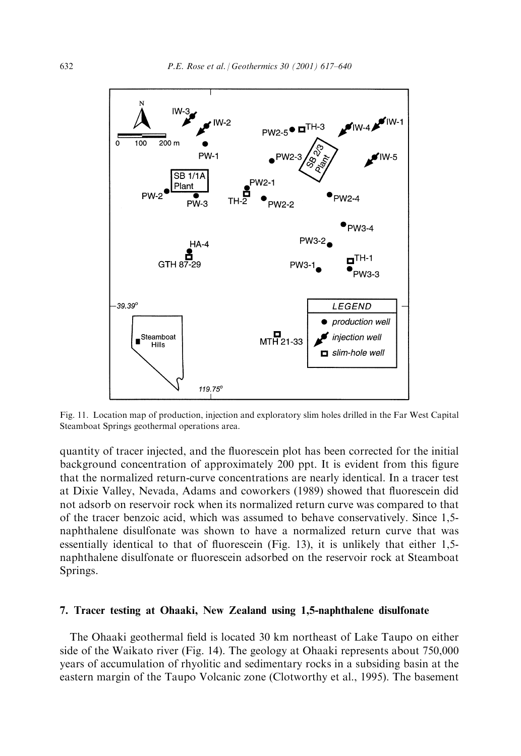

Fig. 11. Location map of production, injection and exploratory slim holes drilled in the Far West Capital Steamboat Springs geothermal operations area.

quantity of tracer injected, and the fluorescein plot has been corrected for the initial background concentration of approximately 200 ppt. It is evident from this figure that the normalized return-curve concentrations are nearly identical. In a tracer test at Dixie Valley, Nevada, Adams and coworkers (1989) showed that fluorescein did not adsorb on reservoir rock when its normalized return curve was compared to that of the tracer benzoic acid, which was assumed to behave conservatively. Since 1,5 naphthalene disulfonate was shown to have a normalized return curve that was essentially identical to that of fluorescein (Fig. 13), it is unlikely that either 1,5 naphthalene disulfonate or fluorescein adsorbed on the reservoir rock at Steamboat Springs.

## 7. Tracer testing at Ohaaki, New Zealand using 1,5-naphthalene disulfonate

The Ohaaki geothermal field is located 30 km northeast of Lake Taupo on either side of the Waikato river (Fig. 14). The geology at Ohaaki represents about 750,000 years of accumulation of rhyolitic and sedimentary rocks in a subsiding basin at the eastern margin of the Taupo Volcanic zone (Clotworthy et al., 1995). The basement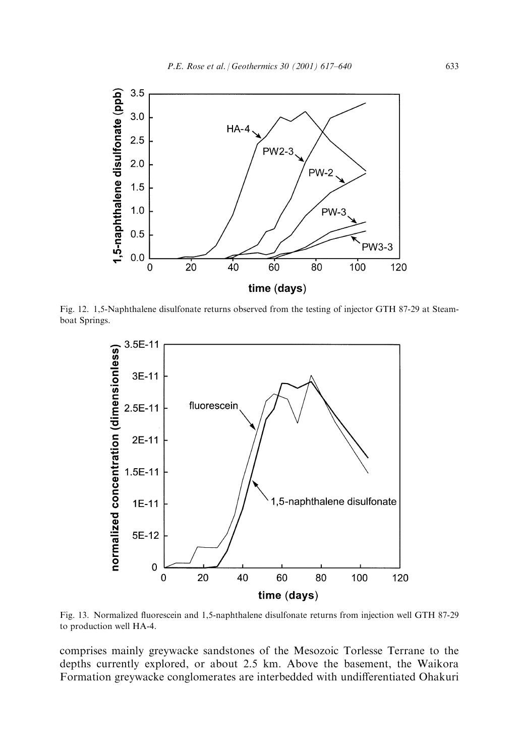

Fig. 12. 1,5-Naphthalene disulfonate returns observed from the testing of injector GTH 87-29 at Steamboat Springs.



Fig. 13. Normalized fluorescein and 1,5-naphthalene disulfonate returns from injection well GTH 87-29 to production well HA-4.

comprises mainly greywacke sandstones of the Mesozoic Torlesse Terrane to the depths currently explored, or about 2.5 km. Above the basement, the Waikora Formation greywacke conglomerates are interbedded with undifferentiated Ohakuri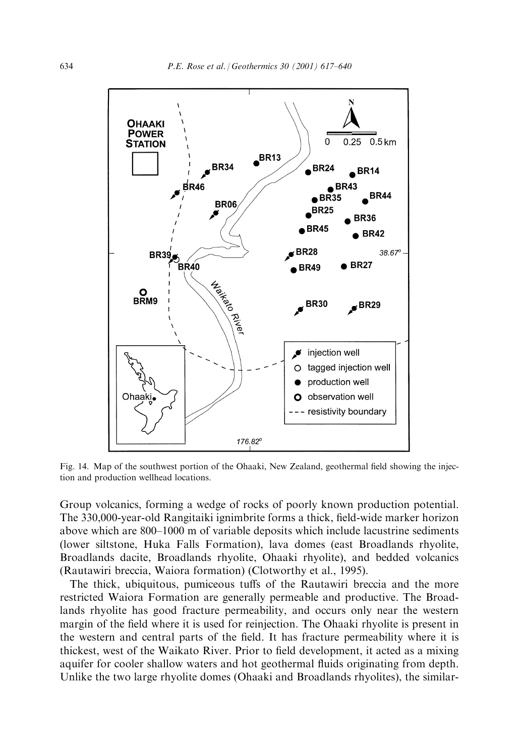

Fig. 14. Map of the southwest portion of the Ohaaki, New Zealand, geothermal field showing the injection and production wellhead locations.

Group volcanics, forming a wedge of rocks of poorly known production potential. The 330,000-year-old Rangitaiki ignimbrite forms a thick, field-wide marker horizon above which are 800–1000 m of variable deposits which include lacustrine sediments (lower siltstone, Huka Falls Formation), lava domes (east Broadlands rhyolite, Broadlands dacite, Broadlands rhyolite, Ohaaki rhyolite), and bedded volcanics (Rautawiri breccia, Waiora formation) (Clotworthy et al., 1995).

The thick, ubiquitous, pumiceous tuffs of the Rautawiri breccia and the more restricted Waiora Formation are generally permeable and productive. The Broadlands rhyolite has good fracture permeability, and occurs only near the western margin of the field where it is used for reinjection. The Ohaaki rhyolite is present in the western and central parts of the field. It has fracture permeability where it is thickest, west of the Waikato River. Prior to field development, it acted as a mixing aquifer for cooler shallow waters and hot geothermal fluids originating from depth. Unlike the two large rhyolite domes (Ohaaki and Broadlands rhyolites), the similar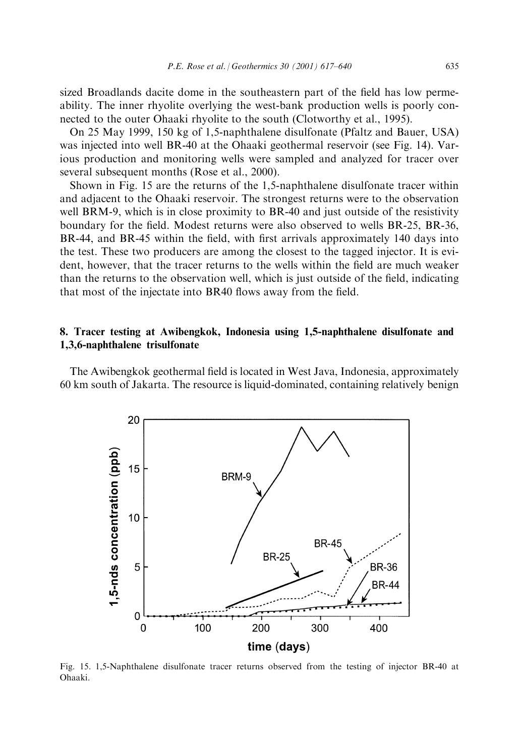sized Broadlands dacite dome in the southeastern part of the field has low permeability. The inner rhyolite overlying the west-bank production wells is poorly connected to the outer Ohaaki rhyolite to the south (Clotworthy et al., 1995).

On 25 May 1999, 150 kg of 1,5-naphthalene disulfonate (Pfaltz and Bauer, USA) was injected into well BR-40 at the Ohaaki geothermal reservoir (see Fig. 14). Various production and monitoring wells were sampled and analyzed for tracer over several subsequent months (Rose et al., 2000).

Shown in Fig. 15 are the returns of the 1,5-naphthalene disulfonate tracer within and adjacent to the Ohaaki reservoir. The strongest returns were to the observation well BRM-9, which is in close proximity to BR-40 and just outside of the resistivity boundary for the field. Modest returns were also observed to wells BR-25, BR-36, BR-44, and BR-45 within the field, with first arrivals approximately 140 days into the test. These two producers are among the closest to the tagged injector. It is evident, however, that the tracer returns to the wells within the field are much weaker than the returns to the observation well, which is just outside of the field, indicating that most of the injectate into BR40 flows away from the field.

# 8. Tracer testing at Awibengkok, Indonesia using 1,5-naphthalene disulfonate and 1,3,6-naphthalene trisulfonate

The Awibengkok geothermal field is located in West Java, Indonesia, approximately 60 km south of Jakarta. The resource is liquid-dominated, containing relatively benign



Fig. 15. 1,5-Naphthalene disulfonate tracer returns observed from the testing of injector BR-40 at Ohaaki.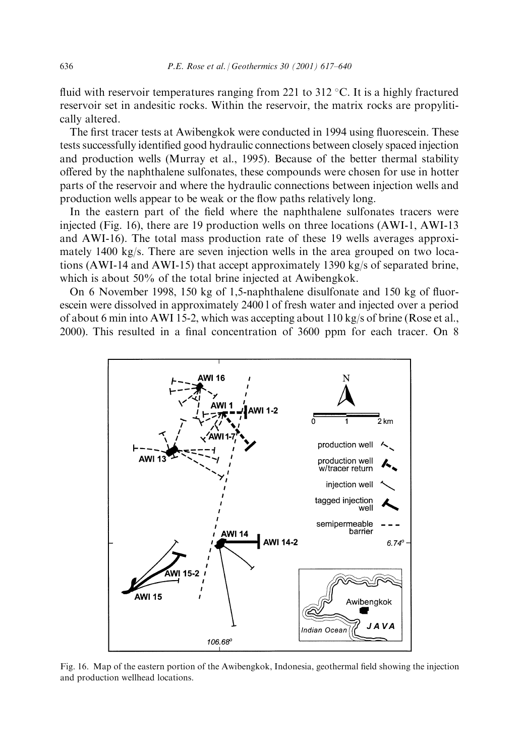fluid with reservoir temperatures ranging from 221 to 312 °C. It is a highly fractured reservoir set in andesitic rocks. Within the reservoir, the matrix rocks are propylitically altered.

The first tracer tests at Awibengkok were conducted in 1994 using fluorescein. These tests successfully identified good hydraulic connections between closely spaced injection and production wells (Murray et al., 1995). Because of the better thermal stability offered by the naphthalene sulfonates, these compounds were chosen for use in hotter parts of the reservoir and where the hydraulic connections between injection wells and production wells appear to be weak or the flow paths relatively long.

In the eastern part of the field where the naphthalene sulfonates tracers were injected (Fig. 16), there are 19 production wells on three locations (AWI-1, AWI-13 and AWI-16). The total mass production rate of these 19 wells averages approximately 1400 kg/s. There are seven injection wells in the area grouped on two locations (AWI-14 and AWI-15) that accept approximately 1390 kg/s of separated brine, which is about 50% of the total brine injected at Awibengkok.

On 6 November 1998, 150 kg of 1,5-naphthalene disulfonate and 150 kg of fluorescein were dissolved in approximately 2400 l of fresh water and injected over a period of about 6 min into AWI 15-2, which was accepting about 110 kg/s of brine (Rose et al., 2000). This resulted in a final concentration of 3600 ppm for each tracer. On 8



Fig. 16. Map of the eastern portion of the Awibengkok, Indonesia, geothermal field showing the injection and production wellhead locations.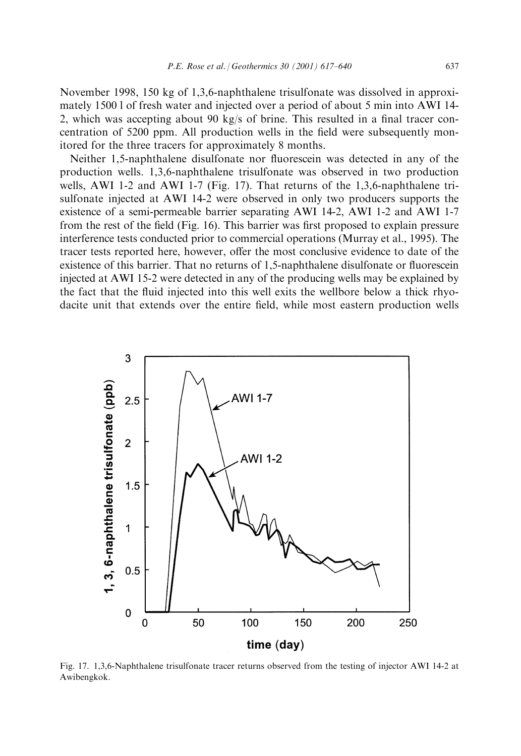November 1998, 150 kg of 1,3,6-naphthalene trisulfonate was dissolved in approximately 1500 l of fresh water and injected over a period of about 5 min into AWI 14- 2, which was accepting about 90 kg/s of brine. This resulted in a final tracer concentration of 5200 ppm. All production wells in the field were subsequently monitored for the three tracers for approximately 8 months.

Neither 1,5-naphthalene disulfonate nor fluorescein was detected in any of the production wells. 1,3,6-naphthalene trisulfonate was observed in two production wells, AWI 1-2 and AWI 1-7 (Fig. 17). That returns of the 1,3,6-naphthalene trisulfonate injected at AWI 14-2 were observed in only two producers supports the existence of a semi-permeable barrier separating AWI 14-2, AWI 1-2 and AWI 1-7 from the rest of the field (Fig. 16). This barrier was first proposed to explain pressure interference tests conducted prior to commercial operations (Murray et al., 1995). The tracer tests reported here, however, offer the most conclusive evidence to date of the existence of this barrier. That no returns of 1,5-naphthalene disulfonate or fluorescein injected at AWI 15-2 were detected in any of the producing wells may be explained by the fact that the fluid injected into this well exits the wellbore below a thick rhyodacite unit that extends over the entire field, while most eastern production wells



Fig. 17. 1,3,6-Naphthalene trisulfonate tracer returns observed from the testing of injector AWI 14-2 at Awibengkok.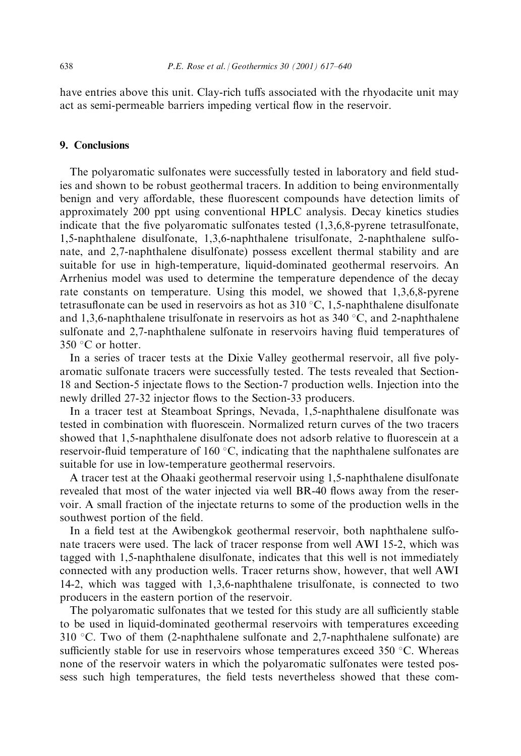have entries above this unit. Clay-rich tuffs associated with the rhyodacite unit may act as semi-permeable barriers impeding vertical flow in the reservoir.

## 9. Conclusions

The polyaromatic sulfonates were successfully tested in laboratory and field studies and shown to be robust geothermal tracers. In addition to being environmentally benign and very affordable, these fluorescent compounds have detection limits of approximately 200 ppt using conventional HPLC analysis. Decay kinetics studies indicate that the five polyaromatic sulfonates tested (1,3,6,8-pyrene tetrasulfonate, 1,5-naphthalene disulfonate, 1,3,6-naphthalene trisulfonate, 2-naphthalene sulfonate, and 2,7-naphthalene disulfonate) possess excellent thermal stability and are suitable for use in high-temperature, liquid-dominated geothermal reservoirs. An Arrhenius model was used to determine the temperature dependence of the decay rate constants on temperature. Using this model, we showed that 1,3,6,8-pyrene tetrasuflonate can be used in reservoirs as hot as  $310\degree\text{C}$ , 1,5-naphthalene disulfonate and 1,3,6-naphthalene trisulfonate in reservoirs as hot as  $340^{\circ}$ C, and 2-naphthalene sulfonate and 2,7-naphthalene sulfonate in reservoirs having fluid temperatures of  $350 \degree C$  or hotter.

In a series of tracer tests at the Dixie Valley geothermal reservoir, all five polyaromatic sulfonate tracers were successfully tested. The tests revealed that Section-18 and Section-5 injectate flows to the Section-7 production wells. Injection into the newly drilled 27-32 injector flows to the Section-33 producers.

In a tracer test at Steamboat Springs, Nevada, 1,5-naphthalene disulfonate was tested in combination with fluorescein. Normalized return curves of the two tracers showed that 1,5-naphthalene disulfonate does not adsorb relative to fluorescein at a reservoir-fluid temperature of 160  $\degree$ C, indicating that the naphthalene sulfonates are suitable for use in low-temperature geothermal reservoirs.

A tracer test at the Ohaaki geothermal reservoir using 1,5-naphthalene disulfonate revealed that most of the water injected via well BR-40 flows away from the reservoir. A small fraction of the injectate returns to some of the production wells in the southwest portion of the field.

In a field test at the Awibengkok geothermal reservoir, both naphthalene sulfonate tracers were used. The lack of tracer response from well AWI 15-2, which was tagged with 1,5-naphthalene disulfonate, indicates that this well is not immediately connected with any production wells. Tracer returns show, however, that well AWI 14-2, which was tagged with 1,3,6-naphthalene trisulfonate, is connected to two producers in the eastern portion of the reservoir.

The polyaromatic sulfonates that we tested for this study are all sufficiently stable to be used in liquid-dominated geothermal reservoirs with temperatures exceeding  $310$  °C. Two of them (2-naphthalene sulfonate and 2,7-naphthalene sulfonate) are sufficiently stable for use in reservoirs whose temperatures exceed  $350^{\circ}$ C. Whereas none of the reservoir waters in which the polyaromatic sulfonates were tested possess such high temperatures, the field tests nevertheless showed that these com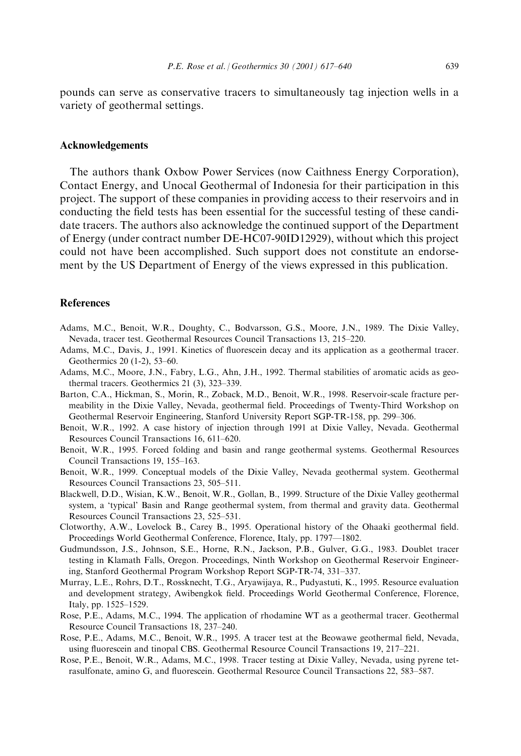pounds can serve as conservative tracers to simultaneously tag injection wells in a variety of geothermal settings.

#### Acknowledgements

The authors thank Oxbow Power Services (now Caithness Energy Corporation), Contact Energy, and Unocal Geothermal of Indonesia for their participation in this project. The support of these companies in providing access to their reservoirs and in conducting the field tests has been essential for the successful testing of these candidate tracers. The authors also acknowledge the continued support of the Department of Energy (under contract number DE-HC07-90ID12929), without which this project could not have been accomplished. Such support does not constitute an endorsement by the US Department of Energy of the views expressed in this publication.

## References

- Adams, M.C., Benoit, W.R., Doughty, C., Bodvarsson, G.S., Moore, J.N., 1989. The Dixie Valley, Nevada, tracer test. Geothermal Resources Council Transactions 13, 215–220.
- Adams, M.C., Davis, J., 1991. Kinetics of fluorescein decay and its application as a geothermal tracer. Geothermics 20 (1-2), 53–60.
- Adams, M.C., Moore, J.N., Fabry, L.G., Ahn, J.H., 1992. Thermal stabilities of aromatic acids as geothermal tracers. Geothermics 21(3), 323–339.
- Barton, C.A., Hickman, S., Morin, R., Zoback, M.D., Benoit, W.R., 1998. Reservoir-scale fracture permeability in the Dixie Valley, Nevada, geothermal field. Proceedings of Twenty-Third Workshop on Geothermal Reservoir Engineering, Stanford University Report SGP-TR-158, pp. 299–306.
- Benoit, W.R., 1992. A case history of injection through 1991 at Dixie Valley, Nevada. Geothermal Resources Council Transactions 16, 611–620.
- Benoit, W.R., 1995. Forced folding and basin and range geothermal systems. Geothermal Resources Council Transactions 19, 155–163.
- Benoit, W.R., 1999. Conceptual models of the Dixie Valley, Nevada geothermal system. Geothermal Resources Council Transactions 23, 505–511.
- Blackwell, D.D., Wisian, K.W., Benoit, W.R., Gollan, B., 1999. Structure of the Dixie Valley geothermal system, a 'typical' Basin and Range geothermal system, from thermal and gravity data. Geothermal Resources Council Transactions 23, 525–531.
- Clotworthy, A.W., Lovelock B., Carey B., 1995. Operational history of the Ohaaki geothermal field. Proceedings World Geothermal Conference, Florence, Italy, pp. 1797—1802.
- Gudmundsson, J.S., Johnson, S.E., Horne, R.N., Jackson, P.B., Gulver, G.G., 1983. Doublet tracer testing in Klamath Falls, Oregon. Proceedings, Ninth Workshop on Geothermal Reservoir Engineering, Stanford Geothermal Program Workshop Report SGP-TR-74, 331–337.
- Murray, L.E., Rohrs, D.T., Rossknecht, T.G., Aryawijaya, R., Pudyastuti, K., 1995. Resource evaluation and development strategy, Awibengkok field. Proceedings World Geothermal Conference, Florence, Italy, pp. 1525–1529.
- Rose, P.E., Adams, M.C., 1994. The application of rhodamine WT as a geothermal tracer. Geothermal Resource Council Transactions 18, 237–240.
- Rose, P.E., Adams, M.C., Benoit, W.R., 1995. A tracer test at the Beowawe geothermal field, Nevada, using fluorescein and tinopal CBS. Geothermal Resource Council Transactions 19, 217–221.
- Rose, P.E., Benoit, W.R., Adams, M.C., 1998. Tracer testing at Dixie Valley, Nevada, using pyrene tetrasulfonate, amino G, and fluorescein. Geothermal Resource Council Transactions 22, 583–587.